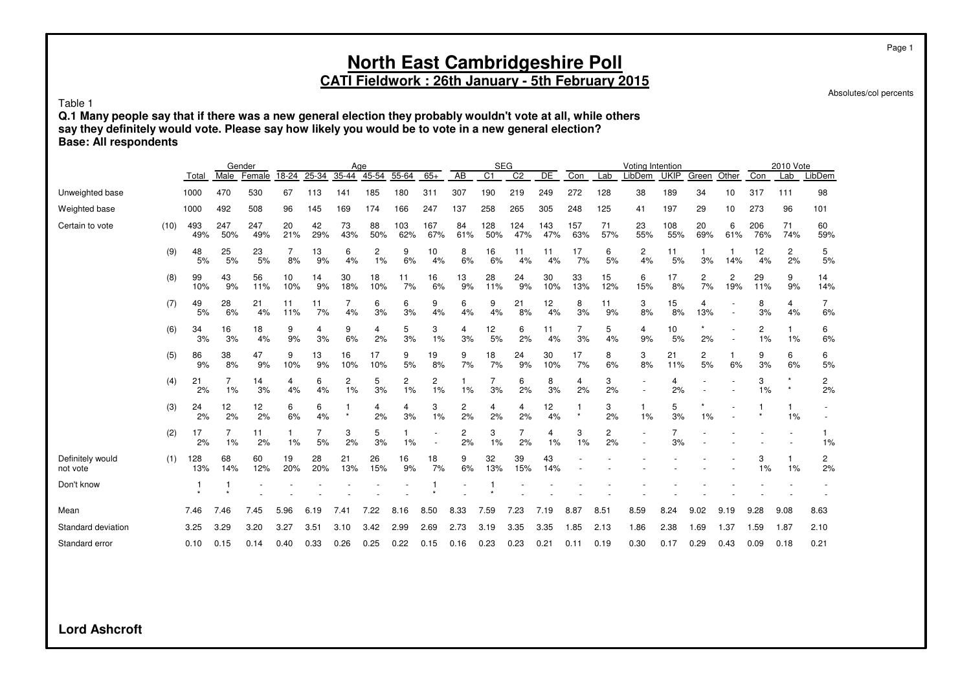Absolutes/col percents

Table 1

**Q.1 Many people say that if there was a new general election they probably wouldn't vote at all, while others say they definitely would vote. Please say how likely you would be to vote in a new general election? Base: All respondents**

|                              |      |            |            | Gender     |           |           | Age       |           |            |            |                 | <b>SEG</b>     |                |            |            |           | Voting Intention         |             |           |          |            | 2010 Vote |           |
|------------------------------|------|------------|------------|------------|-----------|-----------|-----------|-----------|------------|------------|-----------------|----------------|----------------|------------|------------|-----------|--------------------------|-------------|-----------|----------|------------|-----------|-----------|
|                              |      | Total      | Male       | Female     | 18-24     | 25-34     | 35-44     | 45-54     | 55-64      | $65+$      | $\overline{AB}$ | C <sub>1</sub> | C <sub>2</sub> | DE         | Con        | Lab       | LibDem                   | <b>UKIP</b> | Green     | Other    | Con        | Lab       | LibDem    |
| Unweighted base              |      | 1000       | 470        | 530        | 67        | 113       | 141       | 185       | 180        | 311        | 307             | 190            | 219            | 249        | 272        | 128       | 38                       | 189         | 34        | 10       | 317        | 111       | 98        |
| Weighted base                |      | 1000       | 492        | 508        | 96        | 145       | 169       | 174       | 166        | 247        | 137             | 258            | 265            | 305        | 248        | 125       | 41                       | 197         | 29        | 10       | 273        | 96        | 101       |
| Certain to vote              | (10) | 493<br>49% | 247<br>50% | 247<br>49% | 20<br>21% | 42<br>29% | 73<br>43% | 88<br>50% | 103<br>62% | 167<br>67% | 84<br>61%       | 128<br>50%     | 124<br>47%     | 143<br>47% | 157<br>63% | 71<br>57% | 23<br>55%                | 108<br>55%  | 20<br>69% | 6<br>61% | 206<br>76% | 71<br>74% | 60<br>59% |
|                              | (9)  | 48<br>5%   | 25<br>5%   | 23<br>5%   | 7<br>8%   | 13<br>9%  | 6<br>4%   | 2<br>1%   | 9<br>6%    | 10<br>4%   | 8<br>6%         | 16<br>6%       | 11<br>4%       | 11<br>4%   | 17<br>7%   | 6<br>5%   | 2<br>4%                  | 11<br>5%    | 3%        | 1<br>14% | 12<br>4%   | 2<br>2%   | 5<br>5%   |
|                              | (8)  | 99<br>10%  | 43<br>9%   | 56<br>11%  | 10<br>10% | 14<br>9%  | 30<br>18% | 18<br>10% | 11<br>7%   | 16<br>6%   | 13<br>9%        | 28<br>11%      | 24<br>9%       | 30<br>10%  | 33<br>13%  | 15<br>12% | 6<br>15%                 | 17<br>8%    | 2<br>7%   | 2<br>19% | 29<br>11%  | 9<br>9%   | 14<br>14% |
|                              | (7)  | 49<br>5%   | 28<br>6%   | 21<br>4%   | 11<br>11% | 11<br>7%  | 7<br>4%   | 6<br>3%   | 6<br>3%    | 9<br>4%    | 6<br>4%         | 9<br>4%        | 21<br>8%       | 12<br>4%   | 8<br>3%    | 11<br>9%  | 3<br>8%                  | 15<br>8%    | 4<br>13%  |          | 8<br>3%    | 4<br>4%   | 7<br>6%   |
|                              | (6)  | 34<br>3%   | 16<br>3%   | 18<br>4%   | 9<br>9%   | 4<br>3%   | 9<br>6%   | 4<br>2%   | 5<br>3%    | 3<br>1%    | 4<br>3%         | 12<br>5%       | 6<br>2%        | 11<br>4%   | 7<br>3%    | 5<br>4%   | 4<br>9%                  | 10<br>5%    | 2%        |          | 2<br>$1\%$ | 1%        | 6<br>6%   |
|                              | (5)  | 86<br>9%   | 38<br>8%   | 47<br>9%   | 9<br>10%  | 13<br>9%  | 16<br>10% | 17<br>10% | 9<br>5%    | 19<br>8%   | 9<br>7%         | 18<br>7%       | 24<br>9%       | 30<br>10%  | 17<br>7%   | 8<br>6%   | 3<br>8%                  | 21<br>11%   | 2<br>5%   | 6%       | 9<br>3%    | 6<br>6%   | 6<br>5%   |
|                              | (4)  | 21<br>2%   | 1%         | 14<br>3%   | 4<br>4%   | 6<br>4%   | 2<br>1%   | 5<br>3%   | 2<br>1%    | 2<br>1%    | 1%              | 3%             | 6<br>2%        | 8<br>3%    | 4<br>2%    | 3<br>2%   | $\overline{\phantom{a}}$ | 4<br>2%     |           |          | 3<br>1%    | $\star$   | 2<br>2%   |
|                              | (3)  | 24<br>2%   | 12<br>2%   | 12<br>2%   | 6<br>6%   | 6<br>4%   | $\star$   | 4<br>2%   | 4<br>3%    | 3<br>1%    | 2<br>2%         | 4<br>2%        | 4<br>2%        | 12<br>4%   | $\star$    | 3<br>2%   | 1%                       | 5<br>3%     | 1%        |          |            | 1%        |           |
|                              | (2)  | 17<br>2%   | 1%         | 11<br>2%   | 1%        | 5%        | 3<br>2%   | 5<br>3%   | 1%         |            | 2<br>2%         | 3<br>1%        | 2%             | 4<br>1%    | 3<br>1%    | 2<br>2%   |                          | 3%          |           |          |            |           | 1%        |
| Definitely would<br>not vote | (1)  | 128<br>13% | 68<br>14%  | 60<br>12%  | 19<br>20% | 28<br>20% | 21<br>13% | 26<br>15% | 16<br>9%   | 18<br>7%   | 9<br>6%         | 32<br>13%      | 39<br>15%      | 43<br>14%  |            |           |                          |             |           |          | 3<br>1%    | 1%        | 2<br>2%   |
| Don't know                   |      |            |            |            |           |           |           |           |            |            |                 |                |                |            |            |           |                          |             |           |          |            |           |           |
| Mean                         |      | 7.46       | 7.46       | 7.45       | 5.96      | 6.19      | 7.41      | 7.22      | 8.16       | 8.50       | 8.33            | 7.59           | 7.23           | 7.19       | 8.87       | 8.51      | 8.59                     | 8.24        | 9.02      | 9.19     | 9.28       | 9.08      | 8.63      |
| Standard deviation           |      | 3.25       | 3.29       | 3.20       | 3.27      | 3.51      | 3.10      | 3.42      | 2.99       | 2.69       | 2.73            | 3.19           | 3.35           | 3.35       | 1.85       | 2.13      | 1.86                     | 2.38        | 1.69      | 1.37     | 1.59       | 1.87      | 2.10      |
| Standard error               |      | 0.10       | 0.15       | 0.14       | 0.40      | 0.33      | 0.26      | 0.25      | 0.22       | 0.15       | 0.16            | 0.23           | 0.23           | 0.21       | 0.11       | 0.19      | 0.30                     | 0.17        | 0.29      | 0.43     | 0.09       | 0.18      | 0.21      |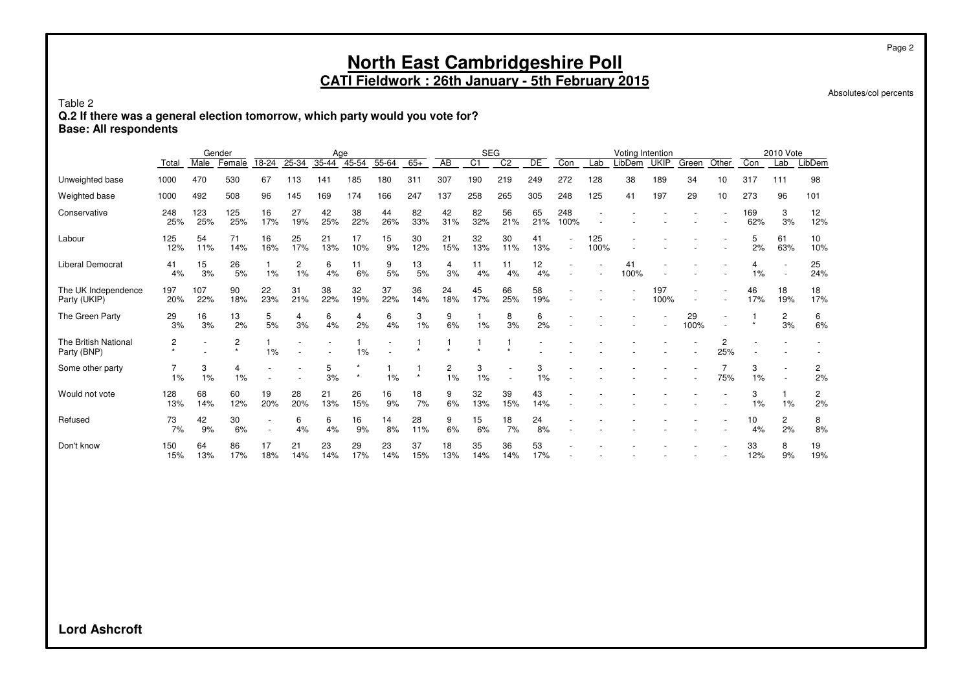Absolutes/col percents

Table 2

**Q.2 If there was a general election tomorrow, which party would you vote for?**

**Base: All respondents**

|                                            |                | Male       | Gender       |           |           | Age       | $45 - 54$ |           | $65+$     | AB        | <b>SEG</b><br>$\overline{C1}$ | C <sub>2</sub> | DE        | Con         | Lab         | Voting Intention | <b>UKIP</b> |            | Other    | Con        | 2010 Vote            |           |
|--------------------------------------------|----------------|------------|--------------|-----------|-----------|-----------|-----------|-----------|-----------|-----------|-------------------------------|----------------|-----------|-------------|-------------|------------------|-------------|------------|----------|------------|----------------------|-----------|
|                                            | Total          |            | Female       | 18-24     | 25-34     | 35-44     |           | 55-64     |           |           |                               |                |           |             |             | LibDem           |             | Green      |          |            | Lab                  | LibDem    |
| Unweighted base                            | 1000           | 470        | 530          | 67        | 113       | 141       | 185       | 180       | 311       | 307       | 190                           | 219            | 249       | 272         | 128         | 38               | 189         | 34         | 10       | 317        | 111                  | 98        |
| Weighted base                              | 1000           | 492        | 508          | 96        | 145       | 169       | 174       | 166       | 247       | 137       | 258                           | 265            | 305       | 248         | 125         | 41               | 197         | 29         | 10       | 273        | 96                   | 101       |
| Conservative                               | 248<br>25%     | 123<br>25% | 125<br>25%   | 16<br>17% | 27<br>19% | 42<br>25% | 38<br>22% | 44<br>26% | 82<br>33% | 42<br>31% | 82<br>32%                     | 56<br>21%      | 65<br>21% | 248<br>100% |             |                  |             |            |          | 169<br>62% | 3<br>3%              | 12<br>12% |
| Labour                                     | 125<br>12%     | 54<br>11%  | 71<br>14%    | 16<br>16% | 25<br>17% | 21<br>13% | 17<br>10% | 15<br>9%  | 30<br>12% | 21<br>15% | 32<br>13%                     | 30<br>11%      | 41<br>13% |             | 125<br>100% |                  |             |            |          | 5<br>2%    | 61<br>63%            | 10<br>10% |
| <b>Liberal Democrat</b>                    | 41<br>4%       | 15<br>3%   | 26<br>5%     | 1%        | 2<br>1%   | 6<br>4%   | 11<br>6%  | 9<br>5%   | 13<br>5%  | 4<br>3%   | 11<br>4%                      | 11<br>4%       | 12<br>4%  |             |             | 41<br>100%       |             |            |          | 1%         |                      | 25<br>24% |
| The UK Independence<br>Party (UKIP)        | 197<br>20%     | 107<br>22% | 90<br>18%    | 22<br>23% | 31<br>21% | 38<br>22% | 32<br>19% | 37<br>22% | 36<br>14% | 24<br>18% | 45<br>17%                     | 66<br>25%      | 58<br>19% |             |             |                  | 197<br>100% |            |          | 46<br>17%  | 18<br>19%            | 18<br>17% |
| The Green Party                            | 29<br>3%       | 16<br>3%   | 13<br>2%     | 5<br>5%   | 4<br>3%   | 6<br>4%   | 4<br>2%   | 6<br>4%   | 3<br>1%   | 9<br>6%   | 1%                            | 8<br>3%        | 6<br>2%   |             |             |                  |             | 29<br>100% |          |            | $\overline{c}$<br>3% | 6<br>6%   |
| <b>The British National</b><br>Party (BNP) | $\overline{c}$ |            | 2<br>$\star$ | 1%        |           |           | 1%        |           |           |           |                               |                |           |             |             |                  |             |            | 2<br>25% |            |                      |           |
| Some other party                           | 1%             | 3<br>1%    | 1%           |           |           | 5<br>3%   |           | 1%        | $\star$   | 2<br>1%   | 3<br>1%                       |                | 3<br>1%   |             |             |                  |             |            | 75%      | 3<br>1%    |                      | 2<br>2%   |
| Would not vote                             | 128<br>13%     | 68<br>14%  | 60<br>12%    | 19<br>20% | 28<br>20% | 21<br>13% | 26<br>15% | 16<br>9%  | 18<br>7%  | 9<br>6%   | 32<br>13%                     | 39<br>15%      | 43<br>14% |             |             |                  |             |            |          | 3<br>1%    | 1%                   | 2<br>2%   |
| Refused                                    | 73<br>7%       | 42<br>9%   | 30<br>6%     |           | 6<br>4%   | 6<br>4%   | 16<br>9%  | 14<br>8%  | 28<br>11% | 9<br>6%   | 15<br>6%                      | 18<br>7%       | 24<br>8%  |             |             |                  |             |            |          | 10<br>4%   | $\overline{2}$<br>2% | 8<br>8%   |
| Don't know                                 | 150<br>15%     | 64<br>13%  | 86<br>17%    | 17<br>18% | 21<br>14% | 23<br>14% | 29<br>17% | 23<br>14% | 37<br>15% | 18<br>13% | 35<br>14%                     | 36<br>14%      | 53<br>17% |             |             |                  |             |            |          | 33<br>12%  | 8<br>9%              | 19<br>19% |

**Lord Ashcroft**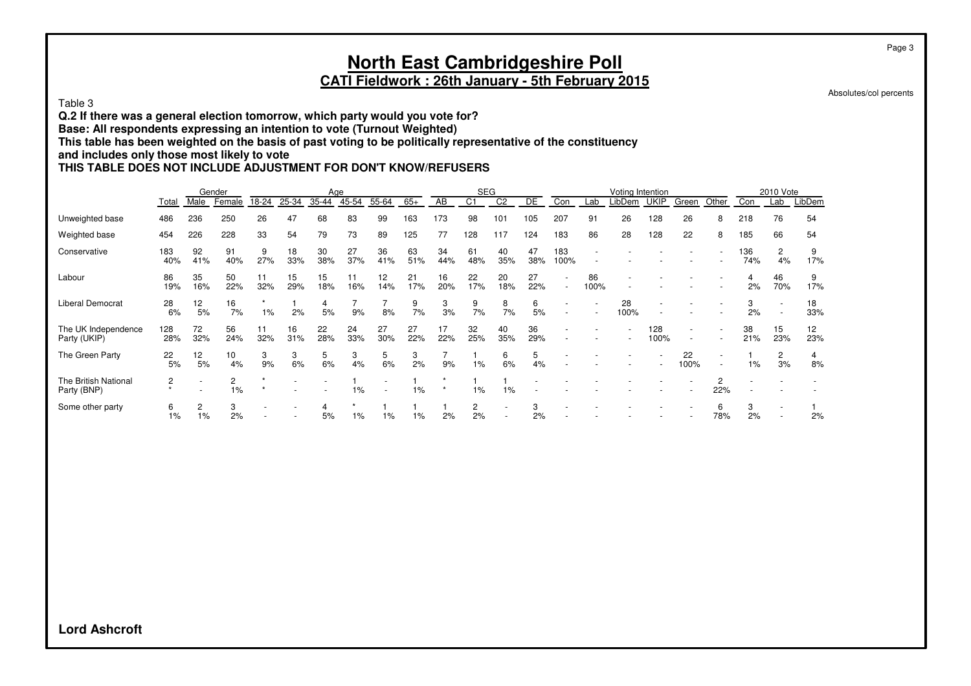### **North East Cambridgeshire Poll CATI Fieldwork : 26th January - 5th February 2015**

Absolutes/col percents

Table 3

**Q.2 If there was a general election tomorrow, which party would you vote for?**

**Base: All respondents expressing an intention to vote (Turnout Weighted)**

**This table has been weighted on the basis of past voting to be politically representative of the constituency**

**and includes only those most likely to vote**

#### **THIS TABLE DOES NOT INCLUDE ADJUSTMENT FOR DON'T KNOW/REFUSERS**

|                                     |            |            | Gender    |               |           | Age       |           |           |           |           | <b>SEG</b>     |                |           |                          |            | Voting Intention |             |                          |                          |            | 2010 Vote                |           |
|-------------------------------------|------------|------------|-----------|---------------|-----------|-----------|-----------|-----------|-----------|-----------|----------------|----------------|-----------|--------------------------|------------|------------------|-------------|--------------------------|--------------------------|------------|--------------------------|-----------|
|                                     | Total      | Male       | Female    | 18-24         | 25-34     | 35-44     | 45-54     | 55-64     | $65+$     | AB        | C <sub>1</sub> | C <sub>2</sub> | <b>DE</b> | Con                      | Lab        | LibDem           | UKIP        | Green                    | Other                    | Con        | Lab                      | LibDem    |
| Unweighted base                     | 486        | 236        | 250       | 26            | 47        | 68        | 83        | 99        | 163       | 173       | 98             | 101            | 105       | 207                      | 91         | 26               | 128         | 26                       | 8                        | 218        | 76                       | 54        |
| Weighted base                       | 454        | 226        | 228       | 33            | 54        | 79        | 73        | 89        | 125       | 77        | 128            | 117            | 124       | 183                      | 86         | 28               | 128         | 22                       | 8                        | 185        | 66                       | 54        |
| Conservative                        | 183<br>40% | 92<br>41%  | 91<br>40% | 9<br>27%      | 18<br>33% | 30<br>38% | 27<br>37% | 36<br>41% | 63<br>51% | 34<br>44% | 61<br>48%      | 40<br>35%      | 47<br>38% | 183<br>100%              |            |                  |             |                          |                          | 136<br>74% | 2<br>4%                  | 17%       |
| Labour                              | 86<br>19%  | 35<br>16%  | 50<br>22% | 11<br>32%     | 15<br>29% | 15<br>18% | 11<br>16% | 12<br>14% | 21<br>17% | 16<br>20% | 22<br>17%      | 20<br>18%      | 27<br>22% | $\overline{\phantom{a}}$ | 86<br>100% |                  |             |                          |                          | 2%         | 46<br>70%                | 9<br>17%  |
| Liberal Democrat                    | 28<br>6%   | 12<br>5%   | 16<br>7%  | $\star$<br>1% | 2%        | 4<br>5%   | 9%        | 8%        | 9<br>7%   | 3<br>3%   | 9<br>7%        | 8<br>7%        | 6<br>5%   | $\overline{\phantom{a}}$ |            | 28<br>100%       |             |                          |                          | 2%         | $\overline{\phantom{a}}$ | 18<br>33% |
| The UK Independence<br>Party (UKIP) | 128<br>28% | 72<br>32%  | 56<br>24% | 11<br>32%     | 16<br>31% | 22<br>28% | 24<br>33% | 27<br>30% | 27<br>22% | 17<br>22% | 32<br>25%      | 40<br>35%      | 36<br>29% |                          |            |                  | 128<br>100% | $\overline{\phantom{a}}$ |                          | 38<br>21%  | 15<br>23%                | 12<br>23% |
| The Green Party                     | 22<br>5%   | 12<br>5%   | 10<br>4%  | 3<br>9%       | 3<br>6%   | 5<br>6%   | 3<br>4%   | 5<br>6%   | 3<br>2%   | 9%        | 1%             | 6<br>6%        | 5<br>4%   |                          |            |                  |             | 22<br>100%               | $\overline{\phantom{a}}$ | 1%         | 2<br>3%                  | 8%        |
| The British National<br>Party (BNP) | 2          |            | 2<br>1%   |               |           |           | 1%        |           | 1%        |           | 1%             | 1%             |           |                          |            |                  |             |                          | 2<br>22%                 |            |                          |           |
| Some other party                    | 6<br>1%    | 2<br>$1\%$ | 3<br>2%   |               |           | 5%        | 1%        | 1%        | 1%        | 2%        | 2<br>2%        |                | 3<br>2%   |                          |            |                  |             |                          | 6<br>78%                 | 2%         |                          | 2%        |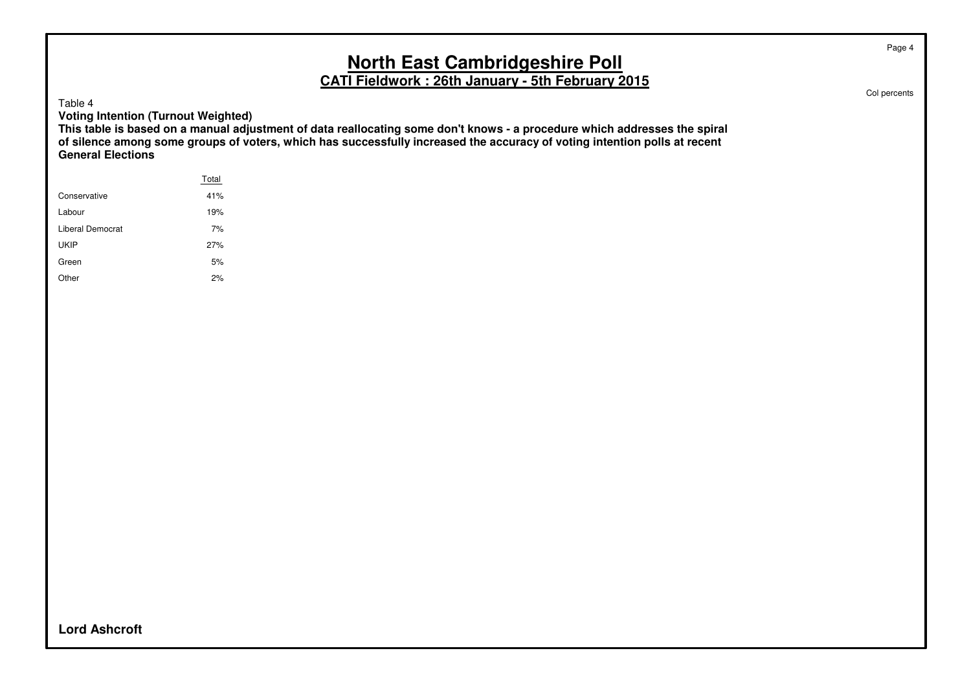# **North East Cambridgeshire Poll**

**CATI Fieldwork : 26th January - 5th February 2015**

Table 4

**Voting Intention (Turnout Weighted)**

**This table is based on a manual adjustment of data reallocating some don't knows - a procedure which addresses the spiral of silence among some groups of voters, which has successfully increased the accuracy of voting intention polls at recent General Elections**

|                  | Total |
|------------------|-------|
| Conservative     | 41%   |
| Labour           | 19%   |
| Liberal Democrat | 7%    |
| <b>UKIP</b>      | 27%   |
| Green            | 5%    |
| Other            | 2%    |
|                  |       |

Col percents

Page 4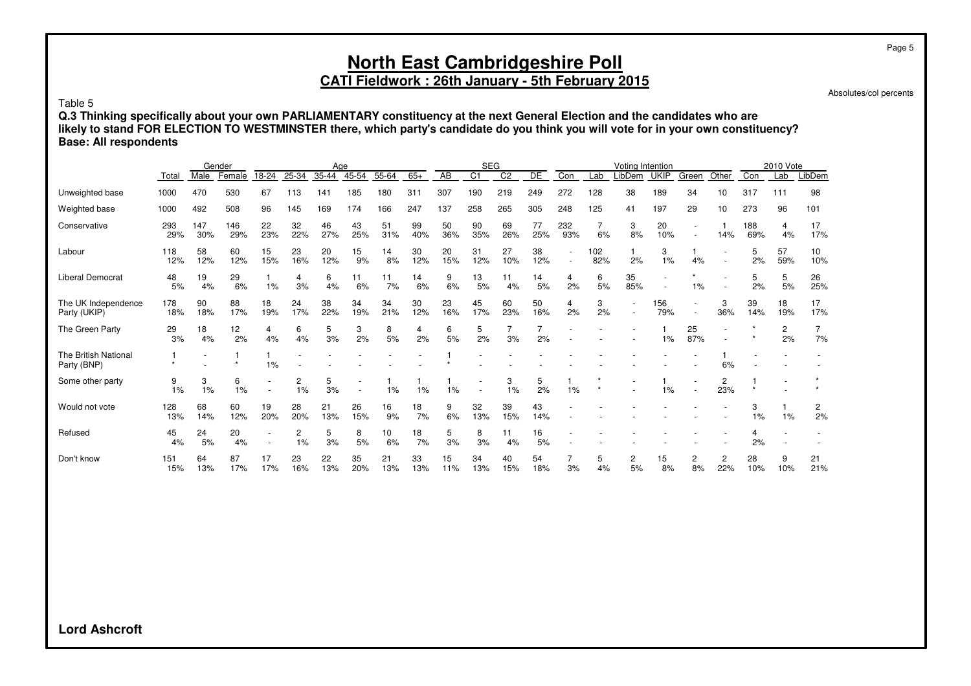Absolutes/col percents

Table 5

**Q.3 Thinking specifically about your own PARLIAMENTARY constituency at the next General Election and the candidates who are likely to stand FOR ELECTION TO WESTMINSTER there, which party's candidate do you think you will vote for in your own constituency? Base: All respondents**

|                                     |            |            | Gender     |           |           | Age       |           |           |           |           | <b>SEG</b>     |                |           |            |            | Votina Intention |             |           |                       |            | 2010 Vote |           |
|-------------------------------------|------------|------------|------------|-----------|-----------|-----------|-----------|-----------|-----------|-----------|----------------|----------------|-----------|------------|------------|------------------|-------------|-----------|-----------------------|------------|-----------|-----------|
|                                     | Total      | Male       | Female     | 18-24     | 25-34     | 35-44     | 45-54     | 55-64     | $65+$     | AB        | C <sub>1</sub> | C <sub>2</sub> | DE        | Con        | Lab        | LibDem           | <b>UKIP</b> | Green     | Other                 | Con        | Lab       | LibDem    |
| Unweighted base                     | 1000       | 470        | 530        | 67        | 113       | 141       | 185       | 180       | 311       | 307       | 190            | 219            | 249       | 272        | 128        | 38               | 189         | 34        | 10                    | 317        | 111       | 98        |
| Weighted base                       | 1000       | 492        | 508        | 96        | 145       | 169       | 174       | 166       | 247       | 137       | 258            | 265            | 305       | 248        | 125        | 41               | 197         | 29        | 10                    | 273        | 96        | 101       |
| Conservative                        | 293<br>29% | 147<br>30% | 146<br>29% | 22<br>23% | 32<br>22% | 46<br>27% | 43<br>25% | 51<br>31% | 99<br>40% | 50<br>36% | 90<br>35%      | 69<br>26%      | 77<br>25% | 232<br>93% | 6%         | 3<br>8%          | 20<br>10%   |           | 14%                   | 188<br>69% | 4<br>4%   | 17<br>17% |
| Labour                              | 118<br>12% | 58<br>12%  | 60<br>12%  | 15<br>15% | 23<br>16% | 20<br>12% | 15<br>9%  | 14<br>8%  | 30<br>12% | 20<br>15% | 31<br>12%      | 27<br>10%      | 38<br>12% |            | 102<br>82% | 2%               | 3<br>1%     | 4%        |                       | 5<br>2%    | 57<br>59% | 10<br>10% |
| Liberal Democrat                    | 48<br>5%   | 19<br>4%   | 29<br>6%   | 1%        | 4<br>3%   | 6<br>4%   | 11<br>6%  | 11<br>7%  | 14<br>6%  | 9<br>6%   | 13<br>5%       | 11<br>4%       | 14<br>5%  | 4<br>2%    | 6<br>5%    | 35<br>85%        |             | 1%        |                       | 5<br>2%    | 5<br>5%   | 26<br>25% |
| The UK Independence<br>Party (UKIP) | 178<br>18% | 90<br>18%  | 88<br>17%  | 18<br>19% | 24<br>17% | 38<br>22% | 34<br>19% | 34<br>21% | 30<br>12% | 23<br>16% | 45<br>17%      | 60<br>23%      | 50<br>16% | 4<br>2%    | 3<br>2%    |                  | 156<br>79%  |           | 3<br>36%              | 39<br>14%  | 18<br>19% | 17<br>17% |
| The Green Party                     | 29<br>3%   | 18<br>4%   | 12<br>2%   | 4<br>4%   | 6<br>4%   | 5<br>3%   | 3<br>2%   | 8<br>5%   | 4<br>2%   | 6<br>5%   | 5<br>2%        | 3%             | 2%        |            |            |                  | 1%          | 25<br>87% |                       |            | 2<br>2%   | 7<br>7%   |
| The British National<br>Party (BNP) |            |            |            | 1%        |           |           |           |           |           |           |                |                |           |            |            |                  |             |           | 6%                    |            |           |           |
| Some other party                    | 9<br>1%    | 3<br>1%    | 6<br>1%    |           | 2<br>1%   | 5<br>3%   |           | 1%        | 1%        | 1%        |                | 3<br>1%        | 5<br>2%   | 1%         |            |                  | $1\%$       |           | 2<br>23%              |            |           |           |
| Would not vote                      | 128<br>13% | 68<br>14%  | 60<br>12%  | 19<br>20% | 28<br>20% | 21<br>13% | 26<br>15% | 16<br>9%  | 18<br>7%  | 9<br>6%   | 32<br>13%      | 39<br>15%      | 43<br>14% |            |            |                  |             |           |                       | 3<br>1%    | 1%        | 2<br>2%   |
| Refused                             | 45<br>4%   | 24<br>5%   | 20<br>4%   |           | 2<br>1%   | 5<br>3%   | 8<br>5%   | 10<br>6%  | 18<br>7%  | 5<br>3%   | 8<br>3%        | 11<br>4%       | 16<br>5%  |            |            |                  |             |           |                       | 4<br>2%    |           |           |
| Don't know                          | 151<br>15% | 64<br>13%  | 87<br>17%  | 17<br>17% | 23<br>16% | 22<br>13% | 35<br>20% | 21<br>13% | 33<br>13% | 15<br>11% | 34<br>13%      | 40<br>15%      | 54<br>18% | 3%         | 5<br>4%    | 2<br>5%          | 15<br>8%    | 2<br>8%   | $\overline{c}$<br>22% | 28<br>10%  | 9<br>10%  | 21<br>21% |

**Lord Ashcroft**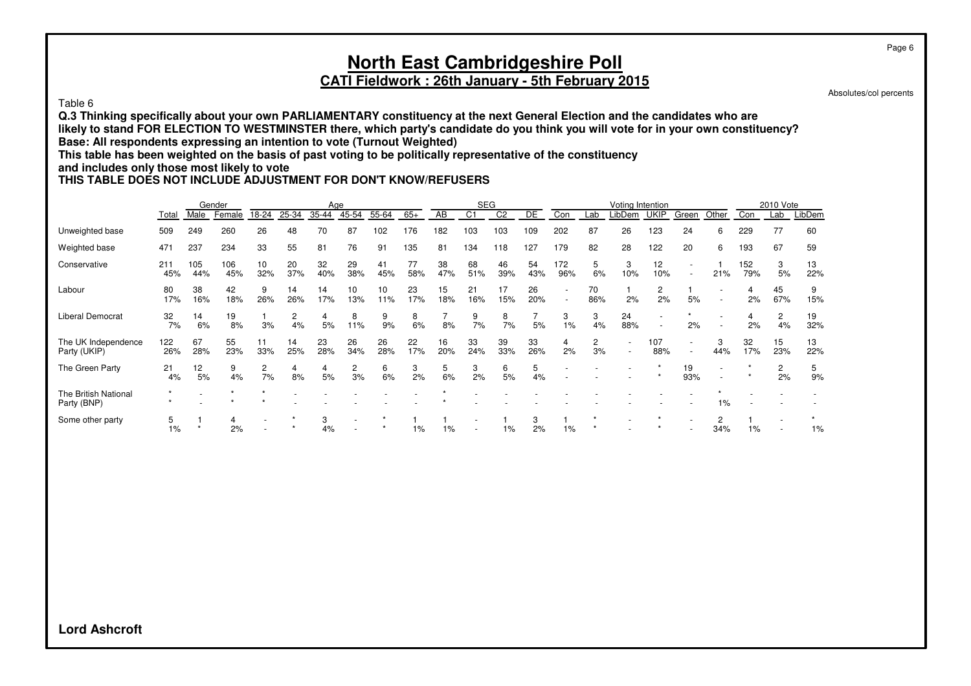#### Table 6

**Q.3 Thinking specifically about your own PARLIAMENTARY constituency at the next General Election and the candidates who are likely to stand FOR ELECTION TO WESTMINSTER there, which party's candidate do you think you will vote for in your own constituency? Base: All respondents expressing an intention to vote (Turnout Weighted)**

**This table has been weighted on the basis of past voting to be politically representative of the constituency**

#### **and includes only those most likely to vote**

#### **THIS TABLE DOES NOT INCLUDE ADJUSTMENT FOR DON'T KNOW/REFUSERS**

|                                     |            |            | Gender     |           |           | Age       |           |           |           |           | <b>SEG</b>     |                |           |            |           | Voting Intention |                          |           |          |            | 2010 Vote            |           |
|-------------------------------------|------------|------------|------------|-----------|-----------|-----------|-----------|-----------|-----------|-----------|----------------|----------------|-----------|------------|-----------|------------------|--------------------------|-----------|----------|------------|----------------------|-----------|
|                                     | Total      | Male       | Female     | 18-24     | 25-34     | 35-44     | 45-54     | 55-64     | $65+$     | AB        | C <sub>1</sub> | C <sub>2</sub> | DE        | Con        | Lab       | .ibDem           | <b>UKIP</b>              | Green     | Other    | Con        | Lab                  | LibDem    |
| Unweighted base                     | 509        | 249        | 260        | 26        | 48        | 70        | 87        | 102       | 176       | 182       | 103            | 103            | 109       | 202        | 87        | 26               | 123                      | 24        | 6        | 229        | 77                   | 60        |
| Weighted base                       | 471        | 237        | 234        | 33        | 55        | 81        | 76        | 91        | 135       | 81        | 134            | 118            | 127       | 179        | 82        | 28               | 122                      | 20        | 6        | 193        | 67                   | 59        |
| Conservative                        | 211<br>45% | 105<br>44% | 106<br>45% | 10<br>32% | 20<br>37% | 32<br>40% | 29<br>38% | 41<br>45% | 77<br>58% | 38<br>47% | 68<br>51%      | 46<br>39%      | 54<br>43% | 172<br>96% | 5<br>6%   | 3<br>10%         | 12<br>10%                |           | 21%      | 152<br>79% | 3<br>5%              | 13<br>22% |
| Labour                              | 80<br>17%  | 38<br>16%  | 42<br>18%  | 9<br>26%  | 14<br>26% | 14<br>17% | 10<br>13% | 10<br>11% | 23<br>17% | 15<br>18% | 21<br>16%      | 17<br>15%      | 26<br>20% |            | 70<br>86% | 2%               | 2<br>2%                  | 5%        |          | 2%         | 45<br>67%            | 9<br>15%  |
| <b>Liberal Democrat</b>             | 32<br>7%   | 14<br>6%   | 19<br>8%   | 3%        | 2<br>4%   | 4<br>5%   | 8<br>11%  | 9<br>9%   | 8<br>6%   | 8%        | 9<br>7%        | 8<br>7%        | 5%        | 3<br>1%    | 3<br>4%   | 24<br>88%        | $\overline{\phantom{a}}$ | 2%        |          | 2%         | 2<br>4%              | 19<br>32% |
| The UK Independence<br>Party (UKIP) | 122<br>26% | 67<br>28%  | 55<br>23%  | 11<br>33% | 14<br>25% | 23<br>28% | 26<br>34% | 26<br>28% | 22<br>17% | 16<br>20% | 33<br>24%      | 39<br>33%      | 33<br>26% | 4<br>2%    | 2<br>3%   |                  | 107<br>88%               |           | 3<br>44% | 32<br>17%  | 15<br>23%            | 13<br>22% |
| The Green Party                     | 21<br>4%   | 12<br>5%   | 9<br>4%    | 2<br>7%   | 4<br>8%   | 5%        | 2<br>3%   | 6<br>6%   | 3<br>2%   | 5<br>6%   | 3<br>2%        | 6<br>5%        | 5<br>4%   |            |           |                  |                          | 19<br>93% |          |            | $\overline{2}$<br>2% | b<br>9%   |
| The British National<br>Party (BNP) |            |            |            |           |           |           |           |           |           |           |                |                |           |            |           |                  |                          |           | 1%       |            |                      |           |
| Some other party                    | 5<br>$1\%$ |            | 4<br>2%    |           |           | 3<br>4%   |           |           | 1%        | 1%        |                | $1\%$          | 3<br>2%   | $1\%$      |           |                  |                          |           | 2<br>34% | 1%         |                      | $1\%$     |

Page 6

Absolutes/col percents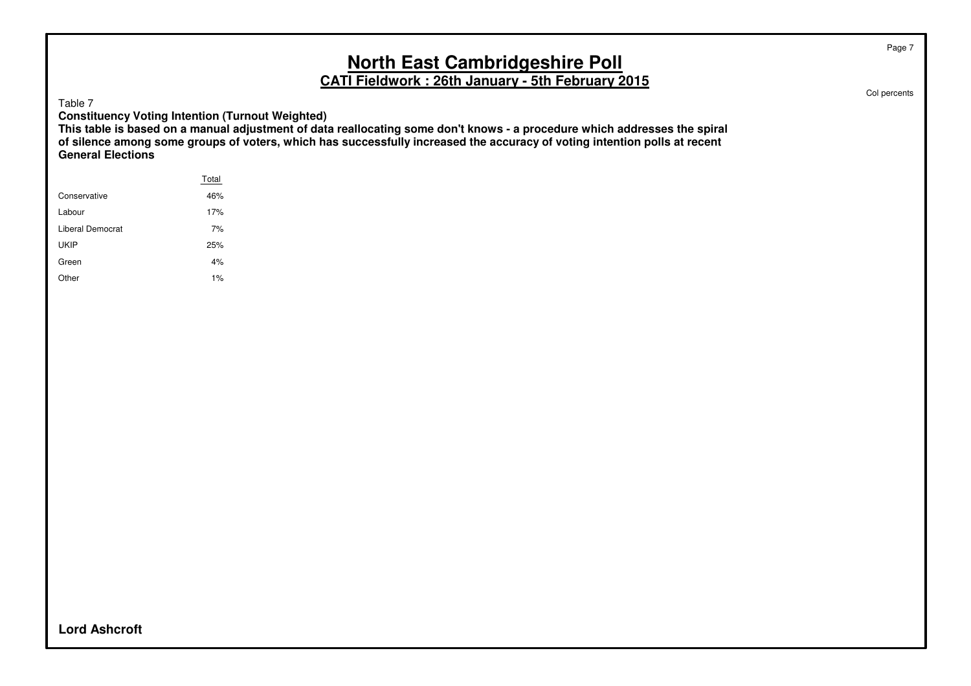Table 7

**Constituency Voting Intention (Turnout Weighted)**

**This table is based on a manual adjustment of data reallocating some don't knows - a procedure which addresses the spiral of silence among some groups of voters, which has successfully increased the accuracy of voting intention polls at recent General Elections**

|                  | Total |
|------------------|-------|
| Conservative     | 46%   |
| Labour           | 17%   |
| Liberal Democrat | 7%    |
| <b>UKIP</b>      | 25%   |
| Green            | 4%    |
| Other            | 1%    |
|                  |       |

Col percents

Page 7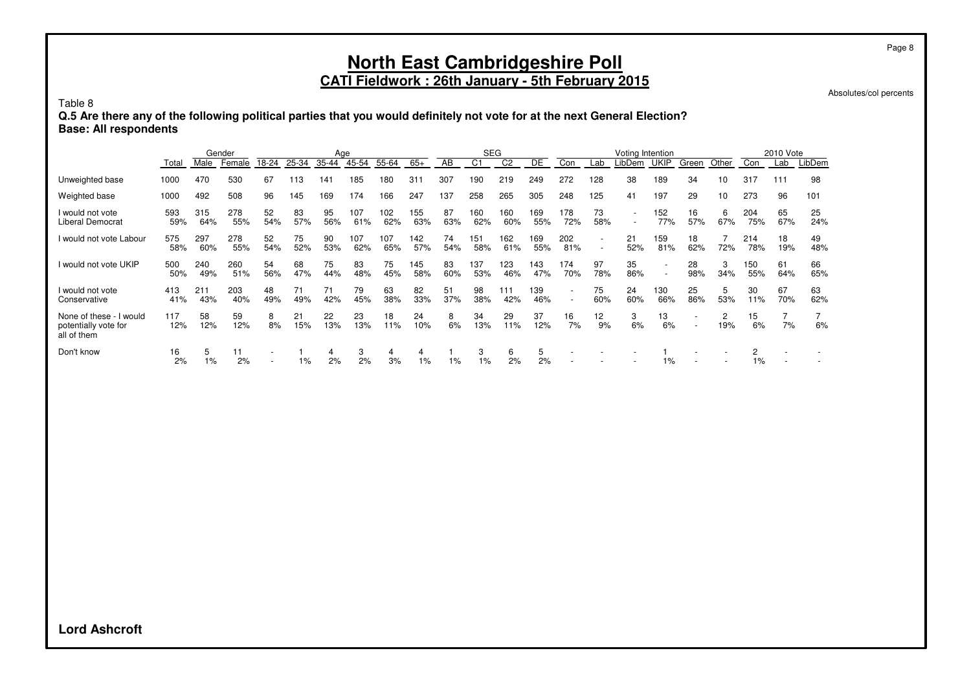# **North East Cambridgeshire Poll**

#### **CATI Fieldwork : 26th January - 5th February 2015**

Absolutes/col percents

Page 8

Table 8

**Q.5 Are there any of the following political parties that you would definitely not vote for at the next General Election? Base: All respondents**

|                                                                |            |            | Gender     |                          |           | Age       |            |            |                 |           | <b>SEG</b> |                |            |            |                                                      | Voting Intention |             |                                                      |          |            | 2010 Vote            |           |
|----------------------------------------------------------------|------------|------------|------------|--------------------------|-----------|-----------|------------|------------|-----------------|-----------|------------|----------------|------------|------------|------------------------------------------------------|------------------|-------------|------------------------------------------------------|----------|------------|----------------------|-----------|
|                                                                | Total      | Male       | Female     | 18-24                    | 25-34     | 35-44     | 45-54      | 55-64      | $65+$           | AB        | C1         | C <sub>2</sub> | DE         | Con        | Lab                                                  | LibDem           | <b>UKIP</b> | Green                                                | Other    | Con        | Lab                  | _ibDem    |
| Unweighted base                                                | 1000       | 470        | 530        | 67                       | 113       | 141       | 185        | 180        | 31 <sup>1</sup> | 307       | 190        | 219            | 249        | 272        | 128                                                  | 38               | 189         | 34                                                   | 10       | 317        | 111                  | 98        |
| Weighted base                                                  | 1000       | 492        | 508        | 96                       | 145       | 169       | 174        | 166        | 247             | 137       | 258        | 265            | 305        | 248        | 125                                                  | 41               | 197         | 29                                                   | 10       | 273        | 96                   | 101       |
| I would not vote<br>Liberal Democrat                           | 593<br>59% | 315<br>64% | 278<br>55% | 52<br>54%                | 83<br>57% | 95<br>56% | 107<br>61% | 102<br>62% | 155<br>63%      | 87<br>63% | 160<br>62% | 160<br>60%     | 169<br>55% | 178<br>72% | 73<br>58%                                            |                  | 152<br>77%  | 16<br>57%                                            | 6<br>67% | 204<br>75% | 65<br>67%            | 25<br>24% |
| I would not vote Labour                                        | 575<br>58% | 297<br>60% | 278<br>55% | 52<br>54%                | 75<br>52% | 90<br>53% | 107<br>62% | 107<br>65% | 142<br>57%      | 74<br>54% | 151<br>58% | 162<br>61%     | 169<br>55% | 202<br>81% | $\overline{\phantom{a}}$<br>$\overline{\phantom{a}}$ | 21<br>52%        | 159<br>81%  | 18<br>62%                                            | 72%      | 214<br>78% | 18<br>19%            | 49<br>48% |
| I would not vote UKIP                                          | 500<br>50% | 240<br>49% | 260<br>51% | 54<br>56%                | 68<br>47% | 75<br>44% | 83<br>48%  | 75<br>45%  | 145<br>58%      | 83<br>60% | 137<br>53% | 123<br>46%     | 143<br>47% | 174<br>70% | 97<br>78%                                            | 35<br>86%        |             | 28<br>98%                                            | 3<br>34% | 150<br>55% | 61<br>64%            | 66<br>65% |
| I would not vote<br>Conservative                               | 413<br>41% | 211<br>43% | 203<br>40% | 48<br>49%                | 71<br>49% | 71<br>42% | 79<br>45%  | 63<br>38%  | 82<br>33%       | 51<br>37% | 98<br>38%  | 111<br>42%     | 139<br>46% |            | 75<br>60%                                            | 24<br>60%        | 130<br>66%  | 25<br>86%                                            | 5<br>53% | 30<br>11%  | 67<br>70%            | 63<br>62% |
| None of these - I would<br>potentially vote for<br>all of them | 117<br>12% | 58<br>12%  | 59<br>12%  | 8<br>8%                  | 21<br>15% | 22<br>13% | 23<br>13%  | 18<br>11%  | 24<br>10%       | 8<br>6%   | 34<br>13%  | 29<br>11%      | 37<br>12%  | 16<br>7%   | 12<br>9%                                             | 3<br>6%          | 13<br>6%    | $\overline{\phantom{a}}$<br>$\overline{\phantom{a}}$ | 2<br>19% | 15<br>6%   | $\overline{7}$<br>7% | 6%        |
| Don't know                                                     | 16<br>2%   | $1\%$      | 11<br>2%   | $\overline{\phantom{a}}$ | 1%        | 4<br>2%   | 3<br>2%    | 4<br>3%    | 4<br>$1\%$      | $1\%$     | 3<br>1%    | 6<br>2%        | 5<br>2%    |            |                                                      |                  | $1\%$       |                                                      |          | 1%         |                      |           |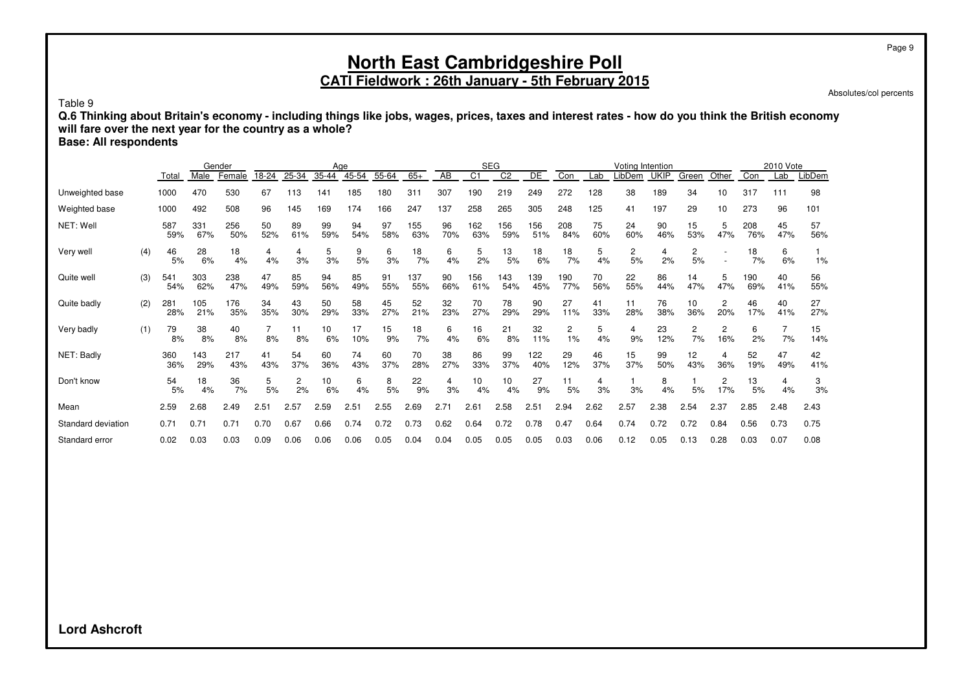Absolutes/col percents

Table 9

**Q.6 Thinking about Britain's economy - including things like jobs, wages, prices, taxes and interest rates - how do you think the British economy will fare over the next year for the country as a whole?**

**Base: All respondents**

|                    |     |            |            | Gender     |           |           |           | Age       |           |            |           |                | <b>SEG</b>      |            |            |           | Votina Intention     |             |           |                       |            | 2010 Vote |           |
|--------------------|-----|------------|------------|------------|-----------|-----------|-----------|-----------|-----------|------------|-----------|----------------|-----------------|------------|------------|-----------|----------------------|-------------|-----------|-----------------------|------------|-----------|-----------|
|                    |     | Total      | Male       | Female     | 18-24     | 25-34     | 35-44     | 45-54     | 55-64     | $65+$      | AB        | C <sub>1</sub> | $\overline{C2}$ | DE         | Con        | Lab       | _ibDem               | <b>UKIP</b> | Green     | Other                 | Con        | Lab       | LibDem    |
| Unweighted base    |     | 1000       | 470        | 530        | 67        | 113       | 141       | 185       | 180       | 31         | 307       | 190            | 219             | 249        | 272        | 128       | 38                   | 189         | 34        | 10                    | 317        | 111       | 98        |
| Weighted base      |     | 1000       | 492        | 508        | 96        | 145       | 169       | 174       | 166       | 247        | 137       | 258            | 265             | 305        | 248        | 125       | 41                   | 197         | 29        | 10                    | 273        | 96        | 101       |
| NET: Well          |     | 587<br>59% | 331<br>67% | 256<br>50% | 50<br>52% | 89<br>61% | 99<br>59% | 94<br>54% | 97<br>58% | 155<br>63% | 96<br>70% | 162<br>63%     | 156<br>59%      | 156<br>51% | 208<br>84% | 75<br>60% | 24<br>60%            | 90<br>46%   | 15<br>53% | 5<br>47%              | 208<br>76% | 45<br>47% | 57<br>56% |
| Very well          | (4) | 46<br>5%   | 28<br>6%   | 18<br>4%   | 4<br>4%   | 4<br>3%   | 5<br>3%   | 9<br>5%   | 6<br>3%   | 18<br>7%   | 6<br>4%   | 5<br>2%        | 13<br>5%        | 18<br>6%   | 18<br>7%   | 5<br>4%   | $\overline{c}$<br>5% | 2%          | 2<br>5%   |                       | 18<br>7%   | 6<br>6%   | 1%        |
| Quite well         | (3) | 541<br>54% | 303<br>62% | 238<br>47% | 47<br>49% | 85<br>59% | 94<br>56% | 85<br>49% | 91<br>55% | 137<br>55% | 90<br>66% | 156<br>61%     | 143<br>54%      | 139<br>45% | 190<br>77% | 70<br>56% | 22<br>55%            | 86<br>44%   | 14<br>47% | 5<br>47%              | 190<br>69% | 40<br>41% | 56<br>55% |
| Quite badly        | (2) | 281<br>28% | 105<br>21% | 176<br>35% | 34<br>35% | 43<br>30% | 50<br>29% | 58<br>33% | 45<br>27% | 52<br>21%  | 32<br>23% | 70<br>27%      | 78<br>29%       | 90<br>29%  | 27<br>11%  | 41<br>33% | 11<br>28%            | 76<br>38%   | 10<br>36% | $\overline{c}$<br>20% | 46<br>17%  | 40<br>41% | 27<br>27% |
| Very badly         | (1) | 79<br>8%   | 38<br>8%   | 40<br>8%   | 8%        | 11<br>8%  | 10<br>6%  | 17<br>10% | 15<br>9%  | 18<br>7%   | 6<br>4%   | 16<br>6%       | 21<br>8%        | 32<br>11%  | 2<br>$1\%$ | 5<br>4%   | 4<br>9%              | 23<br>12%   | 2<br>7%   | 2<br>16%              | 6<br>2%    | 7%        | 15<br>14% |
| NET: Badly         |     | 360<br>36% | 143<br>29% | 217<br>43% | 41<br>43% | 54<br>37% | 60<br>36% | 74<br>43% | 60<br>37% | 70<br>28%  | 38<br>27% | 86<br>33%      | 99<br>37%       | 122<br>40% | 29<br>12%  | 46<br>37% | 15<br>37%            | 99<br>50%   | 12<br>43% | 4<br>36%              | 52<br>19%  | 47<br>49% | 42<br>41% |
| Don't know         |     | 54<br>5%   | 18<br>4%   | 36<br>7%   | 5%        | 2<br>2%   | 10<br>6%  | 6<br>4%   | 8<br>5%   | 22<br>9%   | 4<br>3%   | 10<br>4%       | 10<br>4%        | 27<br>9%   | 11<br>5%   | 4<br>3%   | 3%                   | 8<br>4%     | 5%        | 2<br>17%              | 13<br>5%   | 4<br>4%   | 3<br>3%   |
| Mean               |     | 2.59       | 2.68       | 2.49       | 2.51      | 2.57      | 2.59      | 2.51      | 2.55      | 2.69       | 2.71      | 2.61           | 2.58            | 2.51       | 2.94       | 2.62      | 2.57                 | 2.38        | 2.54      | 2.37                  | 2.85       | 2.48      | 2.43      |
| Standard deviation |     | 0.71       | 0.71       | 0.71       | 0.70      | 0.67      | 0.66      | 0.74      | 0.72      | 0.73       | 0.62      | 0.64           | 0.72            | 0.78       | 0.47       | 0.64      | 0.74                 | 0.72        | 0.72      | 0.84                  | 0.56       | 0.73      | 0.75      |
| Standard error     |     | 0.02       | 0.03       | 0.03       | 0.09      | 0.06      | 0.06      | 0.06      | 0.05      | 0.04       | 0.04      | 0.05           | 0.05            | 0.05       | 0.03       | 0.06      | 0.12                 | 0.05        | 0.13      | 0.28                  | 0.03       | 0.07      | 0.08      |

**Lord Ashcroft**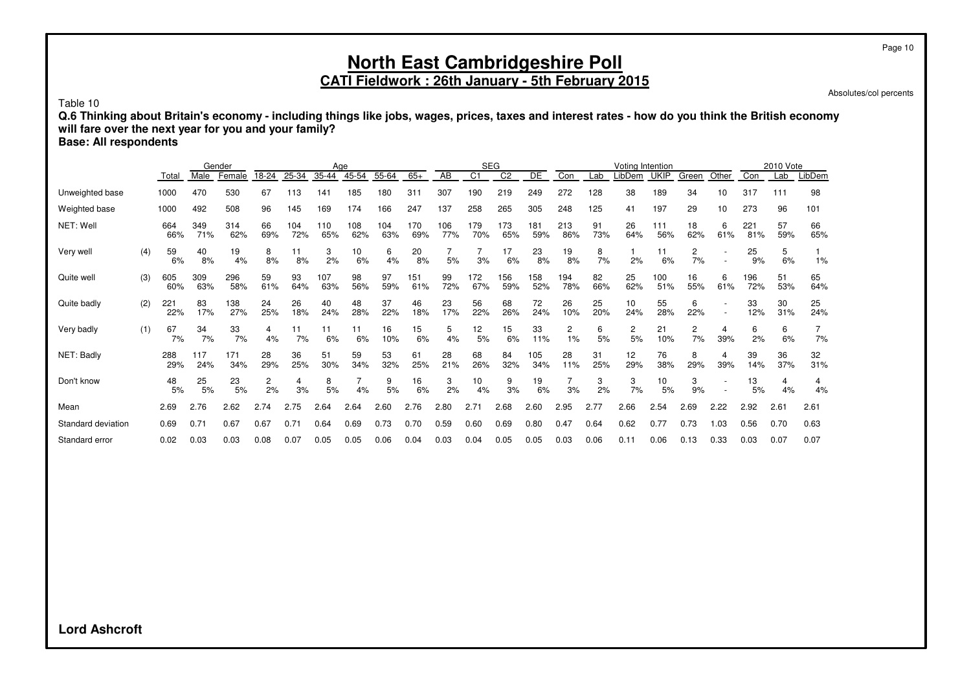#### **North East Cambridgeshire Poll CATI Fieldwork : 26th January - 5th February 2015**

Absolutes/col percents

Table 10

**Q.6 Thinking about Britain's economy - including things like jobs, wages, prices, taxes and interest rates - how do you think the British economy will fare over the next year for you and your family?**

**Base: All respondents**

|                    |     |            |            | Gender     |           |            | Age        |            |            |            |            |                | <b>SEG</b>     |            |            |           | Voting Intention     |             |                      |          |            | 2010 Vote |           |
|--------------------|-----|------------|------------|------------|-----------|------------|------------|------------|------------|------------|------------|----------------|----------------|------------|------------|-----------|----------------------|-------------|----------------------|----------|------------|-----------|-----------|
|                    |     | Total      | Male       | Female     | 18-24     | 25-34      | 35-44      | 45-54      | 55-64      | $65+$      | AB         | C <sub>1</sub> | C <sub>2</sub> | DE         | Con        | Lab       | LibDem               | <b>UKIP</b> | Green                | Other    | Con        | Lab       | LibDem    |
| Unweighted base    |     | 1000       | 470        | 530        | 67        | 13         | 141        | 185        | 180        | 311        | 307        | 190            | 219            | 249        | 272        | 128       | 38                   | 189         | 34                   | 10       | 317        | 111       | 98        |
| Weighted base      |     | 1000       | 492        | 508        | 96        | 145        | 169        | 174        | 166        | 247        | 137        | 258            | 265            | 305        | 248        | 125       | 41                   | 197         | 29                   | 10       | 273        | 96        | 101       |
| NET: Well          |     | 664<br>66% | 349<br>71% | 314<br>62% | 66<br>69% | 104<br>72% | 110<br>65% | 108<br>62% | 104<br>63% | 170<br>69% | 106<br>77% | 179<br>70%     | 173<br>65%     | 181<br>59% | 213<br>86% | 91<br>73% | 26<br>64%            | 111<br>56%  | 18<br>62%            | 6<br>61% | 221<br>81% | 57<br>59% | 66<br>65% |
| Very well          | (4) | 59<br>6%   | 40<br>8%   | 19<br>4%   | 8<br>8%   | 11<br>8%   | 3<br>2%    | 10<br>6%   | 6<br>4%    | 20<br>8%   | 5%         | 3%             | 17<br>6%       | 23<br>8%   | 19<br>8%   | 8<br>7%   | 2%                   | 11<br>6%    | 2<br>7%              |          | 25<br>9%   | 5<br>6%   | 1%        |
| Quite well         | (3) | 605<br>60% | 309<br>63% | 296<br>58% | 59<br>61% | 93<br>64%  | 107<br>63% | 98<br>56%  | 97<br>59%  | 151<br>61% | 99<br>72%  | 172<br>67%     | 156<br>59%     | 158<br>52% | 194<br>78% | 82<br>66% | 25<br>62%            | 100<br>51%  | 16<br>55%            | 6<br>61% | 196<br>72% | 51<br>53% | 65<br>64% |
| Quite badly        | (2) | 221<br>22% | 83<br>17%  | 138<br>27% | 24<br>25% | 26<br>18%  | 40<br>24%  | 48<br>28%  | 37<br>22%  | 46<br>18%  | 23<br>17%  | 56<br>22%      | 68<br>26%      | 72<br>24%  | 26<br>10%  | 25<br>20% | 10<br>24%            | 55<br>28%   | 6<br>22%             |          | 33<br>12%  | 30<br>31% | 25<br>24% |
| Very badly         | (1) | 67<br>7%   | 34<br>7%   | 33<br>7%   | 4<br>4%   | 11<br>7%   | 11<br>6%   | 11<br>6%   | 16<br>10%  | 15<br>6%   | 5<br>4%    | 12<br>5%       | 15<br>6%       | 33<br>11%  | 2<br>1%    | 6<br>5%   | $\overline{c}$<br>5% | 21<br>10%   | $\overline{c}$<br>7% | 4<br>39% | 6<br>2%    | 6<br>6%   | 7<br>7%   |
| NET: Badly         |     | 288<br>29% | 117<br>24% | 171<br>34% | 28<br>29% | 36<br>25%  | 51<br>30%  | 59<br>34%  | 53<br>32%  | 61<br>25%  | 28<br>21%  | 68<br>26%      | 84<br>32%      | 105<br>34% | 28<br>11%  | 31<br>25% | 12<br>29%            | 76<br>38%   | 8<br>29%             | 4<br>39% | 39<br>14%  | 36<br>37% | 32<br>31% |
| Don't know         |     | 48<br>5%   | 25<br>5%   | 23<br>5%   | 2<br>2%   | 3%         | 8<br>5%    | 4%         | 9<br>5%    | 16<br>6%   | 3<br>2%    | 10<br>4%       | 9<br>3%        | 19<br>6%   | 3%         | 3<br>2%   | 3<br>7%              | 10<br>5%    | 3<br>9%              |          | 13<br>5%   | 4<br>4%   | 4<br>4%   |
| Mean               |     | 2.69       | 2.76       | 2.62       | 2.74      | 2.75       | 2.64       | 2.64       | 2.60       | 2.76       | 2.80       | 2.71           | 2.68           | 2.60       | 2.95       | 2.77      | 2.66                 | 2.54        | 2.69                 | 2.22     | 2.92       | 2.61      | 2.61      |
| Standard deviation |     | 0.69       | 0.71       | 0.67       | 0.67      | 0.71       | 0.64       | 0.69       | 0.73       | 0.70       | 0.59       | 0.60           | 0.69           | 0.80       | 0.47       | 0.64      | 0.62                 | 0.77        | 0.73                 | 1.03     | 0.56       | 0.70      | 0.63      |
| Standard error     |     | 0.02       | 0.03       | 0.03       | 0.08      | 0.07       | 0.05       | 0.05       | 0.06       | 0.04       | 0.03       | 0.04           | 0.05           | 0.05       | 0.03       | 0.06      | 0.11                 | 0.06        | 0.13                 | 0.33     | 0.03       | 0.07      | 0.07      |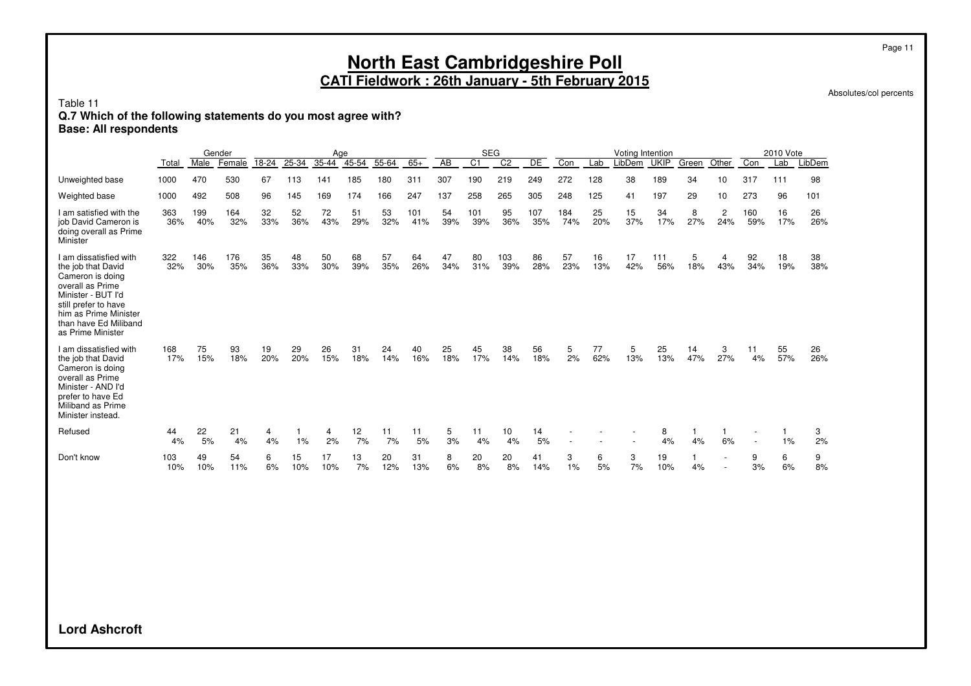Absolutes/col percents

Table 11

#### **Q.7 Which of the following statements do you most agree with?**

**Base: All respondents**

|                                                                                                                                                                                                           |            |            | Gender     |           |           | Age       |           |           |            |           | <b>SEG</b>       |                |            |            |           | Voting Intention |             |           |          |            | 2010 Vote |           |
|-----------------------------------------------------------------------------------------------------------------------------------------------------------------------------------------------------------|------------|------------|------------|-----------|-----------|-----------|-----------|-----------|------------|-----------|------------------|----------------|------------|------------|-----------|------------------|-------------|-----------|----------|------------|-----------|-----------|
|                                                                                                                                                                                                           | Total      | Male       | Female     | 18-24     | 25-34     | 35-44     | 45-54     | 55-64     | $65+$      | AB        | $\overline{C}$ 1 | C <sub>2</sub> | DE         | Con        | Lab       | LibDem           | <b>UKIP</b> | Green     | Other    | Con        | Lab       | LibDem    |
| Unweighted base                                                                                                                                                                                           | 1000       | 470        | 530        | 67        | 113       | 141       | 185       | 180       | 311        | 307       | 190              | 219            | 249        | 272        | 128       | 38               | 189         | 34        | 10       | 317        | 111       | 98        |
| Weighted base                                                                                                                                                                                             | 1000       | 492        | 508        | 96        | 145       | 169       | 174       | 166       | 247        | 137       | 258              | 265            | 305        | 248        | 125       | 41               | 197         | 29        | 10       | 273        | 96        | 101       |
| I am satisfied with the<br>job David Cameron is<br>doing overall as Prime<br>Minister                                                                                                                     | 363<br>36% | 199<br>40% | 164<br>32% | 32<br>33% | 52<br>36% | 72<br>43% | 51<br>29% | 53<br>32% | 101<br>41% | 54<br>39% | 101<br>39%       | 95<br>36%      | 107<br>35% | 184<br>74% | 25<br>20% | 15<br>37%        | 34<br>17%   | 8<br>27%  | 2<br>24% | 160<br>59% | 16<br>17% | 26<br>26% |
| I am dissatisfied with<br>the job that David<br>Cameron is doing<br>overall as Prime<br>Minister - BUT I'd<br>still prefer to have<br>him as Prime Minister<br>than have Ed Miliband<br>as Prime Minister | 322<br>32% | 146<br>30% | 176<br>35% | 35<br>36% | 48<br>33% | 50<br>30% | 68<br>39% | 57<br>35% | 64<br>26%  | 47<br>34% | 80<br>31%        | 103<br>39%     | 86<br>28%  | 57<br>23%  | 16<br>13% | 17<br>42%        | 111<br>56%  | 5<br>18%  | 4<br>43% | 92<br>34%  | 18<br>19% | 38<br>38% |
| I am dissatisfied with<br>the job that David<br>Cameron is doing<br>overall as Prime<br>Minister - AND I'd<br>prefer to have Ed<br>Miliband as Prime<br>Minister instead.                                 | 168<br>17% | 75<br>15%  | 93<br>18%  | 19<br>20% | 29<br>20% | 26<br>15% | 31<br>18% | 24<br>14% | 40<br>16%  | 25<br>18% | 45<br>17%        | 38<br>14%      | 56<br>18%  | 5<br>2%    | 77<br>62% | 5<br>13%         | 25<br>13%   | 14<br>47% | 3<br>27% | 11<br>4%   | 55<br>57% | 26<br>26% |
| Refused                                                                                                                                                                                                   | 44<br>4%   | 22<br>5%   | 21<br>4%   | 4<br>4%   | 1%        | 4<br>2%   | 12<br>7%  | 11<br>7%  | 11<br>5%   | 5<br>3%   | 11<br>4%         | 10<br>4%       | 14<br>5%   |            |           |                  | 8<br>4%     | 4%        | 6%       |            | 1%        | 3<br>2%   |
| Don't know                                                                                                                                                                                                | 103<br>10% | 49<br>10%  | 54<br>11%  | 6<br>6%   | 15<br>10% | 17<br>10% | 13<br>7%  | 20<br>12% | 31<br>13%  | 8<br>6%   | 20<br>8%         | 20<br>8%       | 41<br>14%  | 3<br>1%    | 6<br>5%   | 3<br>7%          | 19<br>10%   | 4%        |          | 9<br>3%    | 6<br>6%   | 9<br>8%   |

**Lord Ashcroft**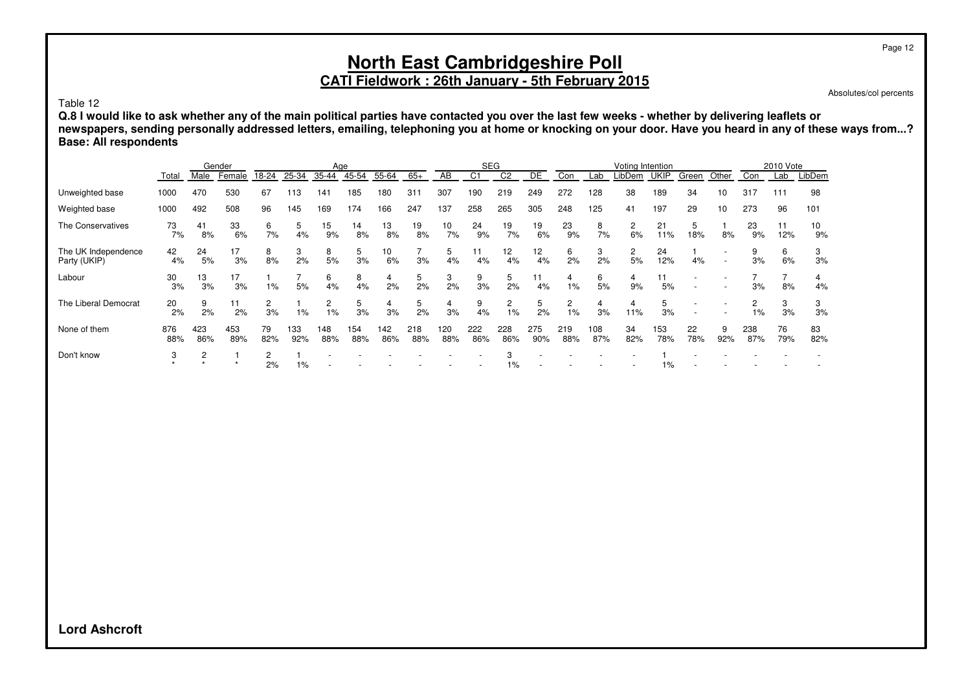## **North East Cambridgeshire Poll CATI Fieldwork : 26th January - 5th February 2015**

Absolutes/col percents

Table 12

**Q.8 I would like to ask whether any of the main political parties have contacted you over the last few weeks - whether by delivering leaflets or newspapers, sending personally addressed letters, emailing, telephoning you at home or knocking on your door. Have you heard in any of these ways from...? Base: All respondents**

|                                     |            |            | Gender     |           |            | Age        |            |            |            |            |            | <b>SEG</b> |                       |            |            | Voting Intention |             |           |                          |            | 2010 Vote |           |
|-------------------------------------|------------|------------|------------|-----------|------------|------------|------------|------------|------------|------------|------------|------------|-----------------------|------------|------------|------------------|-------------|-----------|--------------------------|------------|-----------|-----------|
|                                     | Total      | Male       | Female     | 18-24     | 25-34      | 35-44      | 45-54      | 55-64      | $65+$      | AB         | C1         | C2         | DE                    | Con        | Lab        | LibDem           | <b>UKIP</b> | Green     | Other                    | Con        | Lab       | LibDem    |
| Unweighted base                     | 1000       | 470        | 530        | 67        | 113        | 141        | 185        | 180        | 311        | 307        | 190        | 219        | 249                   | 272        | 128        | 38               | 189         | 34        | 10                       | 317        | 111       | 98        |
| Weighted base                       | 1000       | 492        | 508        | 96        | 145        | 169        | 174        | 166        | 247        | 137        | 258        | 265        | 305                   | 248        | 125        | 41               | 197         | 29        | 10                       | 273        | 96        | 101       |
| The Conservatives                   | 73<br>7%   | 41<br>8%   | 33<br>6%   | 6<br>7%   | 5<br>4%    | 15<br>9%   | 14<br>8%   | 13<br>8%   | 19<br>8%   | 10<br>7%   | 24<br>9%   | 19<br>7%   | 19<br>6%              | 23<br>9%   | 8<br>7%    | 2<br>6%          | 21<br>11%   | 5<br>18%  | 8%                       | 23<br>9%   | 11<br>12% | 10<br>9%  |
| The UK Independence<br>Party (UKIP) | 42<br>4%   | 24<br>5%   | 17<br>3%   | 8<br>8%   | 3<br>2%    | 8<br>5%    | 5<br>3%    | 10<br>6%   | 3%         | 5<br>4%    | 4%         | 12<br>4%   | 12 <sub>2</sub><br>4% | 6<br>2%    | 3<br>2%    | 2<br>5%          | 24<br>12%   | 4%        | $\overline{\phantom{a}}$ | 9<br>3%    | 6<br>6%   | 3<br>3%   |
| Labour                              | 30<br>3%   | 13<br>3%   | 17<br>3%   | 1%        | 5%         | 6<br>4%    | 8<br>4%    | 4<br>2%    | 5<br>2%    | 3<br>2%    | 9<br>3%    | 5<br>2%    | 11<br>4%              | 4<br>1%    | 6<br>5%    | 4<br>9%          | 11<br>5%    |           |                          | 3%         | 8%        | 4<br>4%   |
| The Liberal Democrat                | 20<br>2%   | 9<br>2%    | 11<br>2%   | 3%        | 1%         | 2<br>1%    | 5<br>3%    | 4<br>3%    | 5<br>2%    | 4<br>3%    | 9<br>4%    | 2<br>$1\%$ | 5<br>2%               | 2<br>1%    | 4<br>3%    | 4<br>11%         | 5<br>3%     |           |                          | 2<br>$1\%$ | 3<br>3%   | 3<br>3%   |
| None of them                        | 876<br>88% | 423<br>86% | 453<br>89% | 79<br>82% | 133<br>92% | 148<br>88% | 154<br>88% | 142<br>86% | 218<br>88% | 120<br>88% | 222<br>86% | 228<br>86% | 275<br>90%            | 219<br>88% | 108<br>87% | 34<br>82%        | 153<br>78%  | 22<br>78% | 9<br>92%                 | 238<br>87% | 76<br>79% | 83<br>82% |
| Don't know                          | 3          | 2          |            | 2<br>2%   | 1%         |            |            |            |            |            |            | 1%         |                       |            |            |                  | 1%          |           |                          |            |           |           |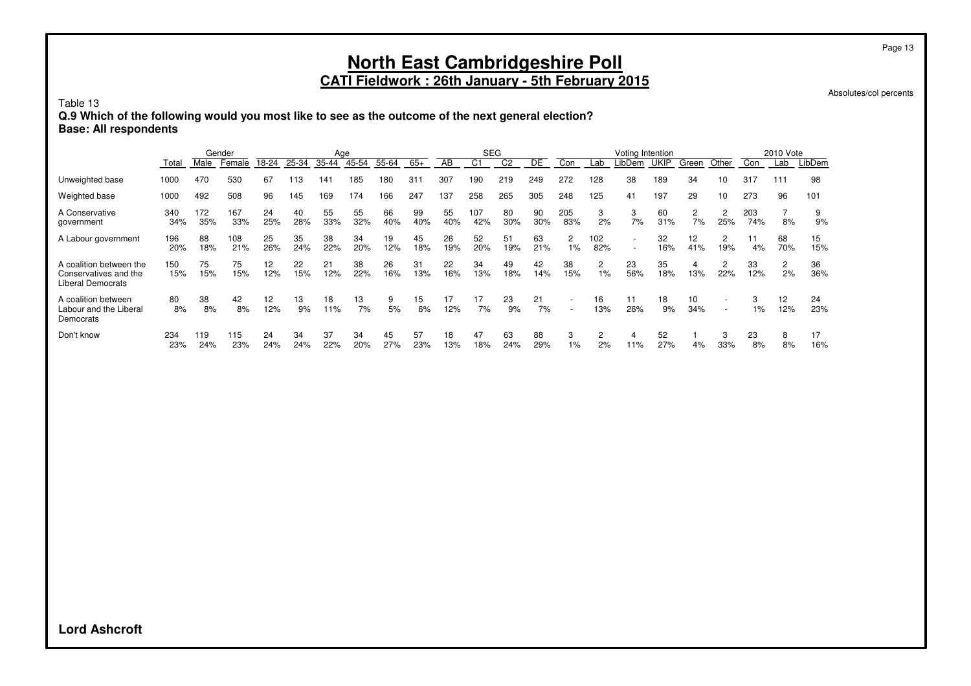# **North East Cambridgeshire Poll**

**CATI Fieldwork : 26th January - 5th February 2015**

Absolutes/col percents

Table 13

**Q.9 Which of the following would you most like to see as the outcome of the next general election? Base: All respondents**

|                                                                              | Gender     |            |            | Age                      |           |           |           |           | <b>SEG</b> |           |                |                | Voting Intention |                                      |            |           |             | 2010 Vote            |                                    |            |           |           |
|------------------------------------------------------------------------------|------------|------------|------------|--------------------------|-----------|-----------|-----------|-----------|------------|-----------|----------------|----------------|------------------|--------------------------------------|------------|-----------|-------------|----------------------|------------------------------------|------------|-----------|-----------|
|                                                                              | Total      | Male       | Female     | 18-24                    | 25-34     | 35-44     | 45-54     | 55-64     | $65+$      | AB        | C <sub>1</sub> | C <sub>2</sub> | DE               | Con                                  | Lab        | _ibDem    | <b>UKIP</b> | Green                | Other                              | Con        | Lab       | LibDem    |
| Unweighted base                                                              | 1000       | 470        | 530        | 67                       | 113       | 141       | 185       | 180       | 31'        | 307       | 190            | 219            | 249              | 272                                  | 128        | 38        | 189         | 34                   | 10                                 | 317        | 111       | 98        |
| Weighted base                                                                | 1000       | 492        | 508        | 96                       | 145       | 169       | 174       | 166       | 247        | 137       | 258            | 265            | 305              | 248                                  | 125        | 41        | 197         | 29                   | 10                                 | 273        | 96        | 101       |
| A Conservative<br>government                                                 | 340<br>34% | 172<br>35% | 167<br>33% | 24<br>25%                | 40<br>28% | 55<br>33% | 55<br>32% | 66<br>40% | 99<br>40%  | 55<br>40% | 107<br>42%     | 80<br>30%      | 90<br>30%        | 205<br>83%                           | 3<br>2%    | 3<br>7%   | 60<br>31%   | $\overline{c}$<br>7% | 2<br>25%                           | 203<br>74% | 8%        | 9<br>9%   |
| A Labour government                                                          | 196<br>20% | 88<br>18%  | 108<br>21% | 25<br>26%                | 35<br>24% | 38<br>22% | 34<br>20% | 19<br>12% | 45<br>18%  | 26<br>19% | 52<br>20%      | 51<br>19%      | 63<br>21%        | $\overline{2}$<br>$1\%$              | 102<br>82% |           | 32<br>16%   | 12<br>41%            | $\overline{c}$<br>19%              | 11<br>4%   | 68<br>70% | 15<br>15% |
| A coalition between the<br>Conservatives and the<br><b>Liberal Democrats</b> | 150<br>15% | 75<br>15%  | 75<br>15%  | $12 \overline{ }$<br>12% | 22<br>15% | 21<br>12% | 38<br>22% | 26<br>16% | 31<br>13%  | 22<br>16% | 34<br>13%      | 49<br>18%      | 42<br>14%        | 38<br>15%                            | 2<br>1%    | 23<br>56% | 35<br>18%   | 4<br>13%             | 2<br>22%                           | 33<br>12%  | 2<br>2%   | 36<br>36% |
| A coalition between<br>Labour and the Liberal<br>Democrats                   | 80<br>8%   | 38<br>8%   | 42<br>8%   | 12 <sup>2</sup><br>12%   | 13<br>9%  | 18<br>11% | 13<br>7%  | 9<br>5%   | 15<br>6%   | 17<br>12% | 17<br>7%       | 23<br>9%       | 21<br>7%         | <b>-</b><br>$\overline{\phantom{a}}$ | 16<br>13%  | 11<br>26% | 18<br>9%    | 10<br>34%            | $\overline{\phantom{a}}$<br>$\sim$ | 3<br>1%    | 12<br>12% | 24<br>23% |
| Don't know                                                                   | 234<br>23% | 119<br>24% | 115<br>23% | 24<br>24%                | 34<br>24% | 37<br>22% | 34<br>20% | 45<br>27% | 57<br>23%  | 18<br>13% | 47<br>18%      | 63<br>24%      | 88<br>29%        | 3<br>$1\%$                           | 2<br>2%    | 4<br>11%  | 52<br>27%   | 4%                   | 3<br>33%                           | 23<br>8%   | 8<br>8%   | 17<br>16% |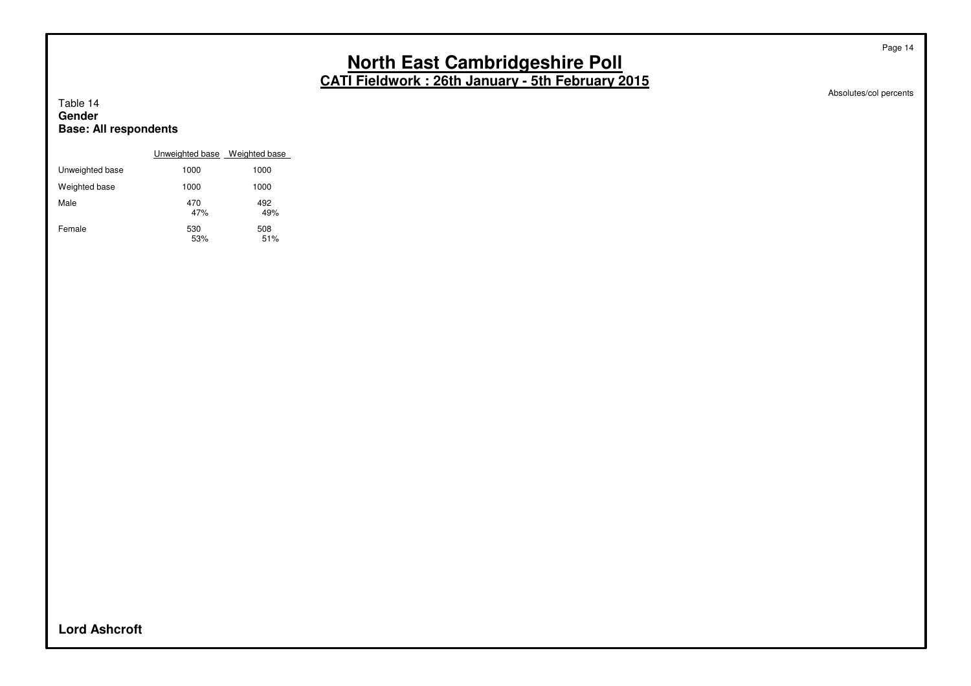Absolutes/col percents

Page 14

#### Table 14 **Gender Base: All respondents**

|                 | Unweighted base Weighted base |            |
|-----------------|-------------------------------|------------|
| Unweighted base | 1000                          | 1000       |
| Weighted base   | 1000                          | 1000       |
| Male            | 470<br>47%                    | 492<br>49% |
| Female          | 530<br>53%                    | 508<br>51% |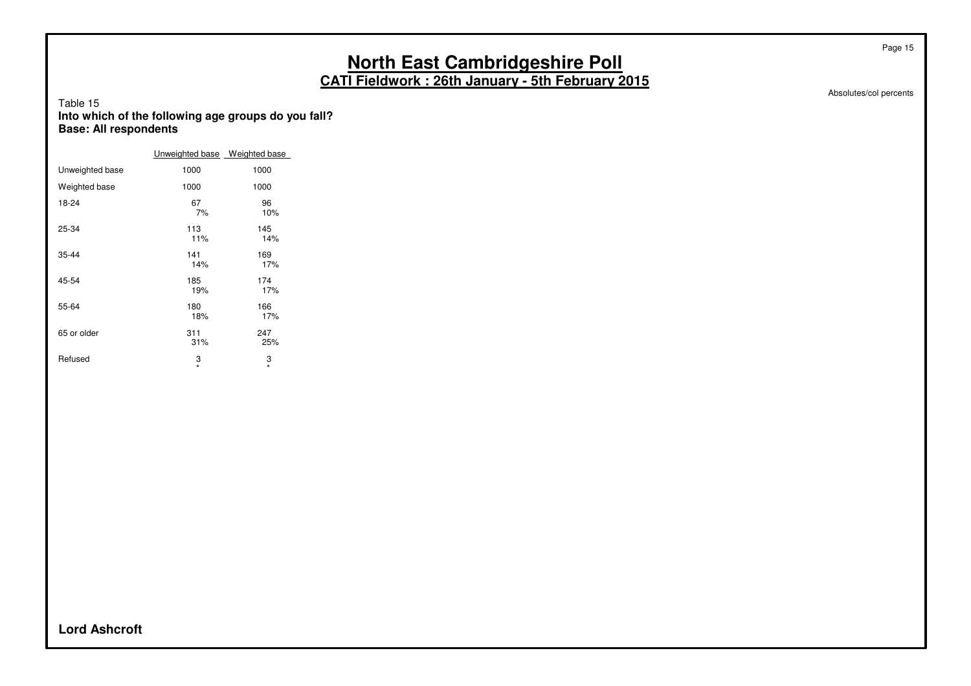Absolutes/col percents

Page 15

#### Table 15 **Into which of the following age groups do you fall? Base: All respondents**

|                 | Unweighted base Weighted base |              |
|-----------------|-------------------------------|--------------|
| Unweighted base | 1000                          | 1000         |
| Weighted base   | 1000                          | 1000         |
| 18-24           | 67<br>7%                      | 96<br>10%    |
| 25-34           | 113<br>11%                    | 145<br>14%   |
| 35-44           | 141<br>14%                    | 169<br>17%   |
| 45-54           | 185<br>19%                    | 174<br>17%   |
| 55-64           | 180<br>18%                    | 166<br>17%   |
| 65 or older     | 311<br>31%                    | 247<br>25%   |
| Refused         | 3<br>$\star$                  | 3<br>$\star$ |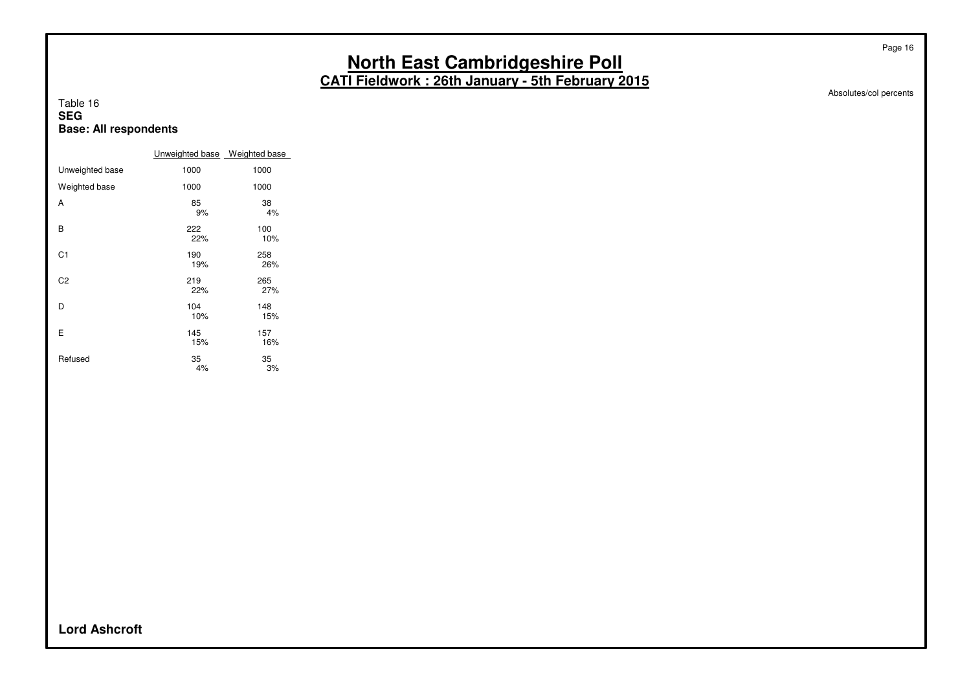Absolutes/col percents

Page 16

#### Table 16 **SEG Base: All respondents**

|                 | Unweighted base Weighted base |            |
|-----------------|-------------------------------|------------|
| Unweighted base | 1000                          | 1000       |
| Weighted base   | 1000                          | 1000       |
| A               | 85<br>9%                      | 38<br>4%   |
| B               | 222<br>22%                    | 100<br>10% |
| C <sub>1</sub>  | 190<br>19%                    | 258<br>26% |
| C2              | 219<br>22%                    | 265<br>27% |
| D               | 104<br>10%                    | 148<br>15% |
| E               | 145<br>15%                    | 157<br>16% |
| Refused         | 35<br>4%                      | 35<br>3%   |